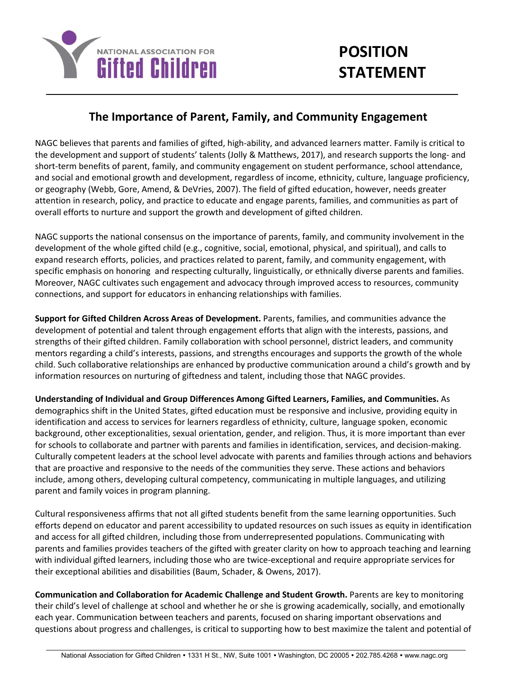

## **The Importance of Parent, Family, and Community Engagement**

NAGC believes that parents and families of gifted, high-ability, and advanced learners matter. Family is critical to the development and support of students' talents (Jolly & Matthews, 2017), and research supports the long- and short-term benefits of parent, family, and community engagement on student performance, school attendance, and social and emotional growth and development, regardless of income, ethnicity, culture, language proficiency, or geography (Webb, Gore, Amend, & DeVries, 2007). The field of gifted education, however, needs greater attention in research, policy, and practice to educate and engage parents, families, and communities as part of overall efforts to nurture and support the growth and development of gifted children.

NAGC supports the national consensus on the importance of parents, family, and community involvement in the development of the whole gifted child (e.g., cognitive, social, emotional, physical, and spiritual), and calls to expand research efforts, policies, and practices related to parent, family, and community engagement, with specific emphasis on honoring and respecting culturally, linguistically, or ethnically diverse parents and families. Moreover, NAGC cultivates such engagement and advocacy through improved access to resources, community connections, and support for educators in enhancing relationships with families.

**Support for Gifted Children Across Areas of Development.** Parents, families, and communities advance the development of potential and talent through engagement efforts that align with the interests, passions, and strengths of their gifted children. Family collaboration with school personnel, district leaders, and community mentors regarding a child's interests, passions, and strengths encourages and supports the growth of the whole child. Such collaborative relationships are enhanced by productive communication around a child's growth and by information resources on nurturing of giftedness and talent, including those that NAGC provides.

**Understanding of Individual and Group Differences Among Gifted Learners, Families, and Communities.** As demographics shift in the United States, gifted education must be responsive and inclusive, providing equity in identification and access to services for learners regardless of ethnicity, culture, language spoken, economic background, other exceptionalities, sexual orientation, gender, and religion. Thus, it is more important than ever for schools to collaborate and partner with parents and families in identification, services, and decision-making. Culturally competent leaders at the school level advocate with parents and families through actions and behaviors that are proactive and responsive to the needs of the communities they serve. These actions and behaviors include, among others, developing cultural competency, communicating in multiple languages, and utilizing parent and family voices in program planning.

Cultural responsiveness affirms that not all gifted students benefit from the same learning opportunities. Such efforts depend on educator and parent accessibility to updated resources on such issues as equity in identification and access for all gifted children, including those from underrepresented populations. Communicating with parents and families provides teachers of the gifted with greater clarity on how to approach teaching and learning with individual gifted learners, including those who are twice-exceptional and require appropriate services for their exceptional abilities and disabilities (Baum, Schader, & Owens, 2017).

**Communication and Collaboration for Academic Challenge and Student Growth.** Parents are key to monitoring their child's level of challenge at school and whether he or she is growing academically, socially, and emotionally each year. Communication between teachers and parents, focused on sharing important observations and questions about progress and challenges, is critical to supporting how to best maximize the talent and potential of